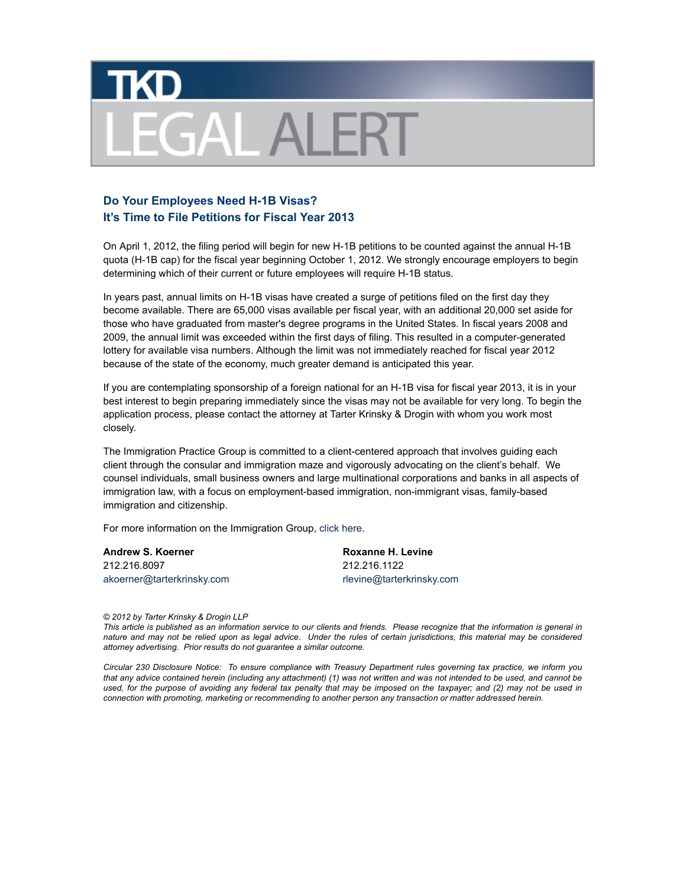

## **Do Your Employees Need H-1B Visas? It's Time to File Petitions for Fiscal Year 2013**

On April 1, 2012, the filing period will begin for new H-1B petitions to be counted against the annual H-1B quota (H-1B cap) for the fiscal year beginning October 1, 2012. We strongly encourage employers to begin determining which of their current or future employees will require H-1B status.

In years past, annual limits on H-1B visas have created a surge of petitions filed on the first day they become available. There are 65,000 visas available per fiscal year, with an additional 20,000 set aside for those who have graduated from master's degree programs in the United States. In fiscal years 2008 and 2009, the annual limit was exceeded within the first days of filing. This resulted in a computer-generated lottery for available visa numbers. Although the limit was not immediately reached for fiscal year 2012 because of the state of the economy, much greater demand is anticipated this year.

If you are contemplating sponsorship of a foreign national for an H-1B visa for fiscal year 2013, it is in your best interest to begin preparing immediately since the visas may not be available for very long. To begin the application process, please contact the attorney at Tarter Krinsky & Drogin with whom you work most closely.

The Immigration Practice Group is committed to a client-centered approach that involves guiding each client through the consular and immigration maze and vigorously advocating on the client's behalf. We counsel individuals, small business owners and large multinational corporations and banks in all aspects of immigration law, with a focus on employment-based immigration, non-immigrant visas, family-based immigration and citizenship.

For more information on the Immigration Group, click here.

**Andrew S. Koerner** 212.216.8097 akoerner@tarterkrinsky.com

**Roxanne H. Levine** 212.216.1122 rlevine@tarterkrinsky.com

*© 2012 by Tarter Krinsky & Drogin LLP*

*This article is published as an information service to our clients and friends. Please recognize that the information is general in nature and may not be relied upon as legal advice*. *Under the rules of certain jurisdictions, this material may be considered attorney advertising. Prior results do not guarantee a similar outcome.*

*Circular 230 Disclosure Notice: To ensure compliance with Treasury Department rules governing tax practice, we inform you that any advice contained herein (including any attachment) (1) was not written and was not intended to be used, and cannot be used, for the purpose of avoiding any federal tax penalty that may be imposed on the taxpayer; and (2) may not be used in connection with promoting, marketing or recommending to another person any transaction or matter addressed herein.*